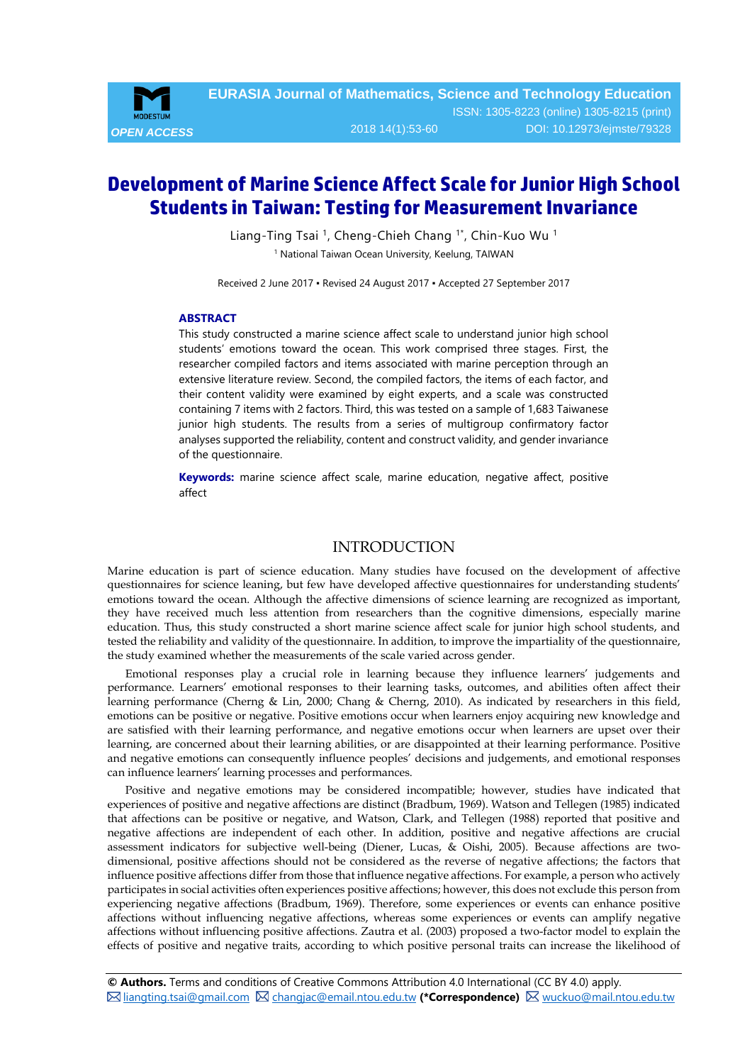

# **Development of Marine Science Affect Scale for Junior High School Students in Taiwan: Testing for Measurement Invariance**

Liang-Ting Tsai<sup>1</sup>, Cheng-Chieh Chang<sup>1\*</sup>, Chin-Kuo Wu<sup>1</sup> <sup>1</sup> National Taiwan Ocean University, Keelung, TAIWAN

Received 2 June 2017 ▪ Revised 24 August 2017 ▪ Accepted 27 September 2017

#### <span id="page-0-0"></span>**ABSTRACT**

This study constructed a marine science affect scale to understand junior high school students' emotions toward the ocean. This work comprised three stages. First, the researcher compiled factors and items associated with marine perception through an extensive literature review. Second, the compiled factors, the items of each factor, and their content validity were examined by eight experts, and a scale was constructed containing 7 items with 2 factors. Third, this was tested on a sample of 1,683 Taiwanese junior high students. The results from a series of multigroup confirmatory factor analyses supported the reliability, content and construct validity, and gender invariance of the questionnaire.

**Keywords:** marine science affect scale, marine education, negative affect, positive affect

## **INTRODUCTION**

Marine education is part of science education. Many studies have focused on the development of affective questionnaires for science leaning, but few have developed affective questionnaires for understanding students' emotions toward the ocean. Although the affective dimensions of science learning are recognized as important, they have received much less attention from researchers than the cognitive dimensions, especially marine education. Thus, this study constructed a short marine science affect scale for junior high school students, and tested the reliability and validity of the questionnaire. In addition, to improve the impartiality of the questionnaire, the study examined whether the measurements of the scale varied across gender.

Emotional responses play a crucial role in learning because they influence learners' judgements and performance. Learners' emotional responses to their learning tasks, outcomes, and abilities often affect their learning performance (Cherng & Lin, 2000; Chang & Cherng, 2010). As indicated by researchers in this field, emotions can be positive or negative. Positive emotions occur when learners enjoy acquiring new knowledge and are satisfied with their learning performance, and negative emotions occur when learners are upset over their learning, are concerned about their learning abilities, or are disappointed at their learning performance. Positive and negative emotions can consequently influence peoples' decisions and judgements, and emotional responses can influence learners' learning processes and performances.

Positive and negative emotions may be considered incompatible; however, studies have indicated that experiences of positive and negative affections are distinct (Bradbum, 1969). Watson and Tellegen (1985) indicated that affections can be positive or negative, and Watson, Clark, and Tellegen (1988) reported that positive and negative affections are independent of each other. In addition, positive and negative affections are crucial assessment indicators for subjective well-being (Diener, Lucas, & Oishi, 2005). Because affections are twodimensional, positive affections should not be considered as the reverse of negative affections; the factors that influence positive affections differ from those that influence negative affections. For example, a person who actively participates in social activities often experiences positive affections; however, this does not exclude this person from experiencing negative affections (Bradbum, 1969). Therefore, some experiences or events can enhance positive affections without influencing negative affections, whereas some experiences or events can amplify negative affections without influencing positive affections. Zautra et al. (2003) proposed a two-factor model to explain the effects of positive and negative traits, according to which positive personal traits can increase the likelihood of

**© Authors.** Terms and conditions of Creative Commons Attribution 4.0 International (CC BY 4.0) apply. [liangting.tsai@gmail.com](mailto:liangting.tsai@gmail.com) [changjac@email.ntou.edu.tw](mailto:changjac@email.ntou.edu.tw) **(\*Correspondence)** [wuckuo@mail.ntou.edu.tw](mailto:wuckuo@mail.ntou.edu.tw)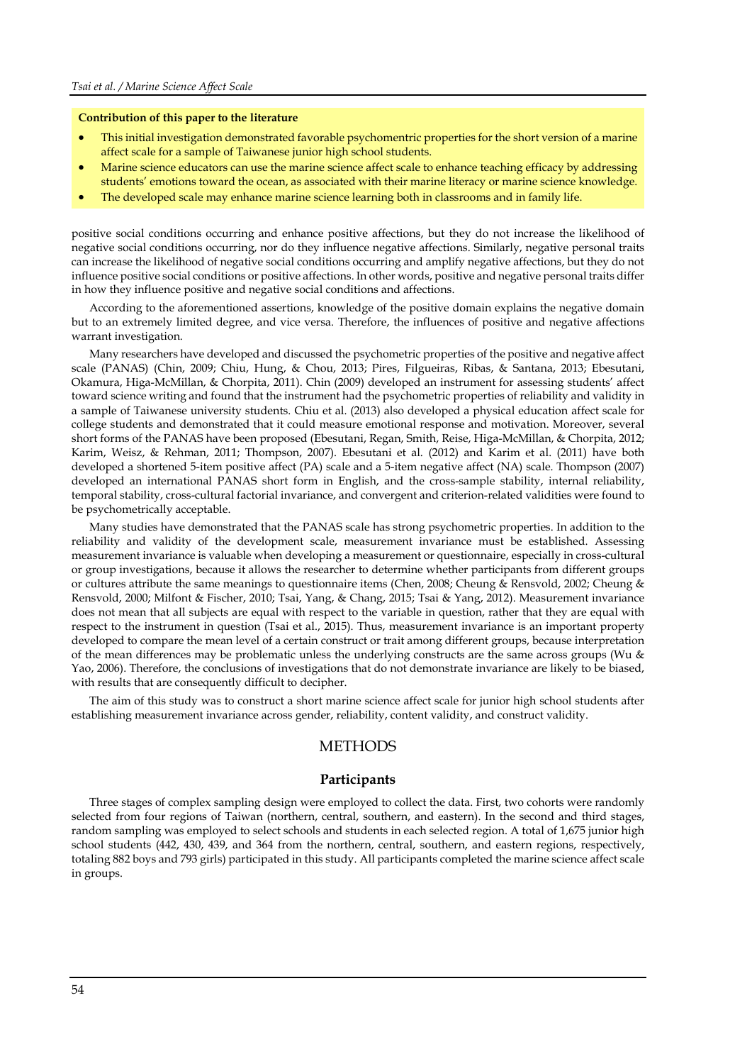#### **Contribution of this paper to the literature**

- This initial investigation demonstrated favorable psychomentric properties for the short version of a marine affect scale for a sample of Taiwanese junior high school students.
- Marine science educators can use the marine science affect scale to enhance teaching efficacy by addressing students' emotions toward the ocean, as associated with their marine literacy or marine science knowledge.
- The developed scale may enhance marine science learning both in classrooms and in family life.

positive social conditions occurring and enhance positive affections, but they do not increase the likelihood of negative social conditions occurring, nor do they influence negative affections. Similarly, negative personal traits can increase the likelihood of negative social conditions occurring and amplify negative affections, but they do not influence positive social conditions or positive affections. In other words, positive and negative personal traits differ in how they influence positive and negative social conditions and affections.

According to the aforementioned assertions, knowledge of the positive domain explains the negative domain but to an extremely limited degree, and vice versa. Therefore, the influences of positive and negative affections warrant investigation.

Many researchers have developed and discussed the psychometric properties of the positive and negative affect scale (PANAS) (Chin, 2009; Chiu, Hung, & Chou, 2013; Pires, Filgueiras, Ribas, & Santana, 2013; Ebesutani, Okamura, Higa-McMillan, & Chorpita, 2011). Chin (2009) developed an instrument for assessing students' affect toward science writing and found that the instrument had the psychometric properties of reliability and validity in a sample of Taiwanese university students. Chiu et al. (2013) also developed a physical education affect scale for college students and demonstrated that it could measure emotional response and motivation. Moreover, several short forms of the PANAS have been proposed (Ebesutani, Regan, Smith, Reise, Higa-McMillan, & Chorpita, 2012; Karim, Weisz, & Rehman, 2011; Thompson, 2007). Ebesutani et al. (2012) and Karim et al. (2011) have both developed a shortened 5-item positive affect (PA) scale and a 5-item negative affect (NA) scale. Thompson (2007) developed an international PANAS short form in English, and the cross-sample stability, internal reliability, temporal stability, cross-cultural factorial invariance, and convergent and criterion-related validities were found to be psychometrically acceptable.

Many studies have demonstrated that the PANAS scale has strong psychometric properties. In addition to the reliability and validity of the development scale, measurement invariance must be established. Assessing measurement invariance is valuable when developing a measurement or questionnaire, especially in cross-cultural or group investigations, because it allows the researcher to determine whether participants from different groups or cultures attribute the same meanings to questionnaire items (Chen, 2008; Cheung & Rensvold, 2002; Cheung & Rensvold, 2000; Milfont & Fischer, 2010; Tsai, Yang, & Chang, 2015; Tsai & Yang, 2012). Measurement invariance does not mean that all subjects are equal with respect to the variable in question, rather that they are equal with respect to the instrument in question (Tsai et al., 2015). Thus, measurement invariance is an important property developed to compare the mean level of a certain construct or trait among different groups, because interpretation of the mean differences may be problematic unless the underlying constructs are the same across groups (Wu & Yao, 2006). Therefore, the conclusions of investigations that do not demonstrate invariance are likely to be biased, with results that are consequently difficult to decipher.

The aim of this study was to construct a short marine science affect scale for junior high school students after establishing measurement invariance across gender, reliability, content validity, and construct validity.

## **METHODS**

#### **Participants**

Three stages of complex sampling design were employed to collect the data. First, two cohorts were randomly selected from four regions of Taiwan (northern, central, southern, and eastern). In the second and third stages, random sampling was employed to select schools and students in each selected region. A total of 1,675 junior high school students (442, 430, 439, and 364 from the northern, central, southern, and eastern regions, respectively, totaling 882 boys and 793 girls) participated in this study. All participants completed the marine science affect scale in groups.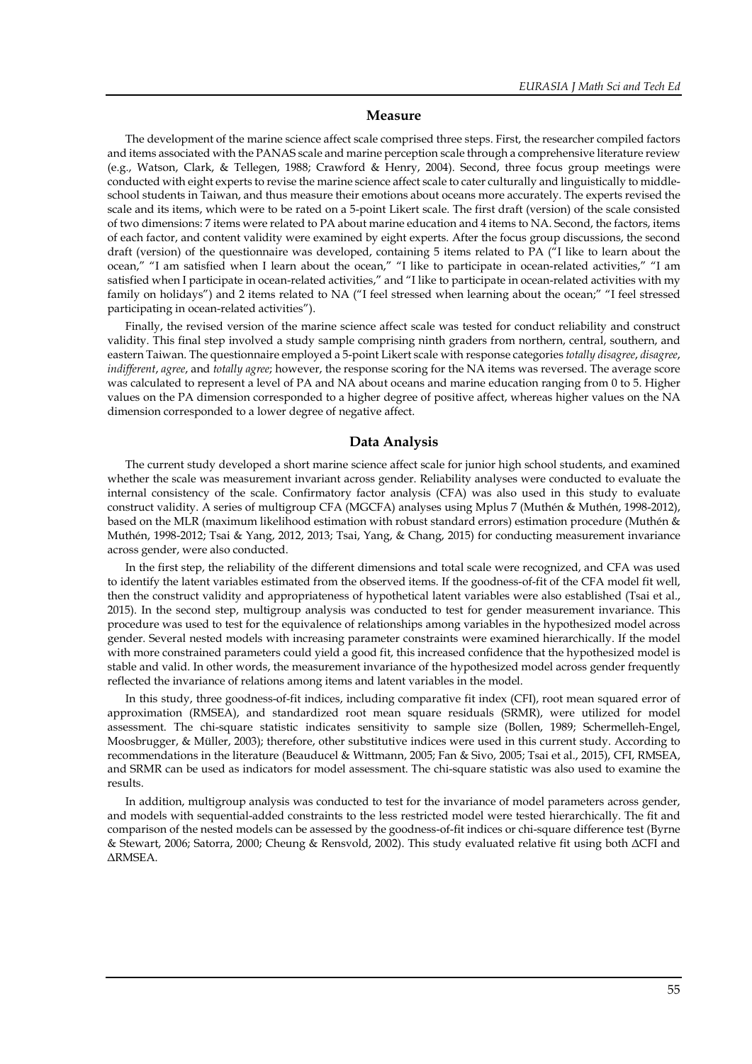#### **Measure**

The development of the marine science affect scale comprised three steps. First, the researcher compiled factors and items associated with the PANAS scale and marine perception scale through a comprehensive literature review (e.g., Watson, Clark, & Tellegen, 1988; Crawford & Henry, 2004). Second, three focus group meetings were conducted with eight experts to revise the marine science affect scale to cater culturally and linguistically to middleschool students in Taiwan, and thus measure their emotions about oceans more accurately. The experts revised the scale and its items, which were to be rated on a 5-point Likert scale. The first draft (version) of the scale consisted of two dimensions: 7 items were related to PA about marine education and 4 items to NA. Second, the factors, items of each factor, and content validity were examined by eight experts. After the focus group discussions, the second draft (version) of the questionnaire was developed, containing 5 items related to PA ("I like to learn about the ocean," "I am satisfied when I learn about the ocean," "I like to participate in ocean-related activities," "I am satisfied when I participate in ocean-related activities," and "I like to participate in ocean-related activities with my family on holidays") and 2 items related to NA ("I feel stressed when learning about the ocean;" "I feel stressed participating in ocean-related activities").

Finally, the revised version of the marine science affect scale was tested for conduct reliability and construct validity. This final step involved a study sample comprising ninth graders from northern, central, southern, and eastern Taiwan. The questionnaire employed a 5-point Likert scale with response categories *totally disagree*, *disagree*, *indifferent*, *agree*, and *totally agree*; however, the response scoring for the NA items was reversed. The average score was calculated to represent a level of PA and NA about oceans and marine education ranging from 0 to 5. Higher values on the PA dimension corresponded to a higher degree of positive affect, whereas higher values on the NA dimension corresponded to a lower degree of negative affect.

#### **Data Analysis**

The current study developed a short marine science affect scale for junior high school students, and examined whether the scale was measurement invariant across gender. Reliability analyses were conducted to evaluate the internal consistency of the scale. Confirmatory factor analysis (CFA) was also used in this study to evaluate construct validity. A series of multigroup CFA (MGCFA) analyses using Mplus 7 (Muthén & Muthén, 1998-2012), based on the MLR (maximum likelihood estimation with robust standard errors) estimation procedure (Muthén & Muthén, 1998-2012; Tsai & Yang, 2012, 2013; Tsai, Yang, & Chang, 2015) for conducting measurement invariance across gender, were also conducted.

In the first step, the reliability of the different dimensions and total scale were recognized, and CFA was used to identify the latent variables estimated from the observed items. If the goodness-of-fit of the CFA model fit well, then the construct validity and appropriateness of hypothetical latent variables were also established (Tsai et al., 2015). In the second step, multigroup analysis was conducted to test for gender measurement invariance. This procedure was used to test for the equivalence of relationships among variables in the hypothesized model across gender. Several nested models with increasing parameter constraints were examined hierarchically. If the model with more constrained parameters could yield a good fit, this increased confidence that the hypothesized model is stable and valid. In other words, the measurement invariance of the hypothesized model across gender frequently reflected the invariance of relations among items and latent variables in the model.

In this study, three goodness-of-fit indices, including comparative fit index (CFI), root mean squared error of approximation (RMSEA), and standardized root mean square residuals (SRMR), were utilized for model assessment. The chi-square statistic indicates sensitivity to sample size (Bollen, 1989; Schermelleh-Engel, Moosbrugger, & Müller, 2003); therefore, other substitutive indices were used in this current study. According to recommendations in the literature (Beauducel & Wittmann, 2005; Fan & Sivo, 2005; Tsai et al., 2015), CFI, RMSEA, and SRMR can be used as indicators for model assessment. The chi-square statistic was also used to examine the results.

In addition, multigroup analysis was conducted to test for the invariance of model parameters across gender, and models with sequential-added constraints to the less restricted model were tested hierarchically. The fit and comparison of the nested models can be assessed by the goodness-of-fit indices or chi-square difference test (Byrne & Stewart, 2006; Satorra, 2000; Cheung & Rensvold, 2002). This study evaluated relative fit using both ΔCFI and ΔRMSEA.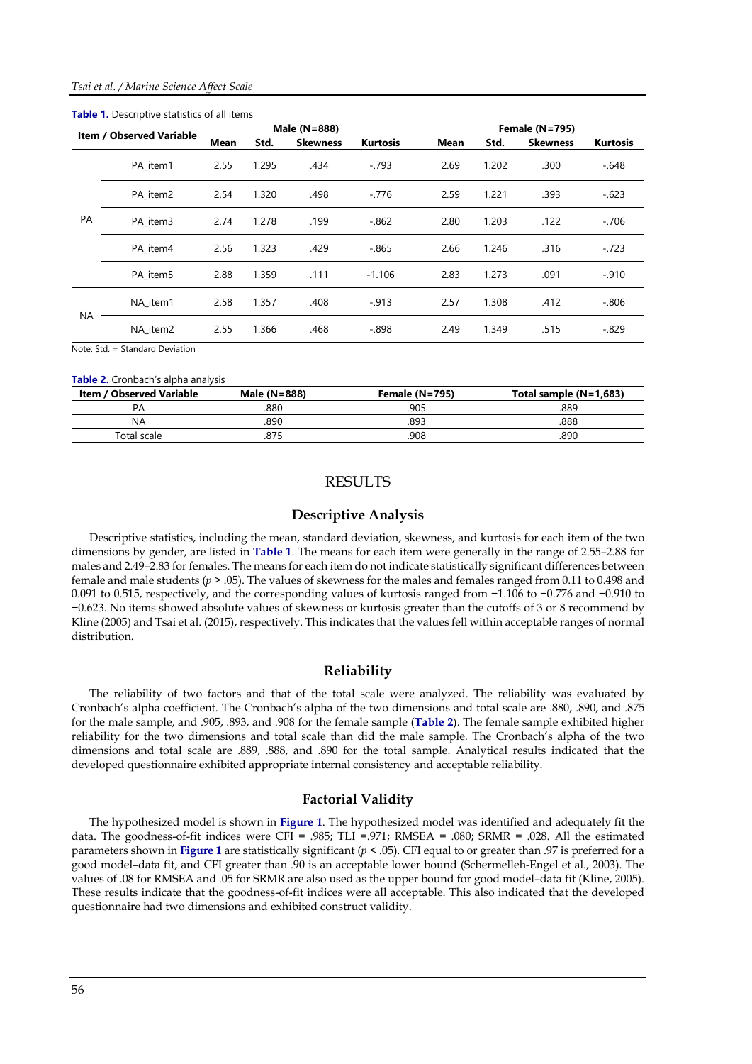| <b>Table 1.</b> Descriptive statistics of all items |          |                                                    |       |              |             |                       |                 |                 |          |  |
|-----------------------------------------------------|----------|----------------------------------------------------|-------|--------------|-------------|-----------------------|-----------------|-----------------|----------|--|
| <b>Item / Observed Variable</b>                     |          |                                                    |       | Male (N=888) |             | <b>Female (N=795)</b> |                 |                 |          |  |
|                                                     |          | Std.<br><b>Kurtosis</b><br><b>Skewness</b><br>Mean |       |              | <b>Mean</b> | Std.                  | <b>Skewness</b> | <b>Kurtosis</b> |          |  |
| PA                                                  | PA item1 | 2.55                                               | 1.295 | .434         | $-.793$     | 2.69                  | 1.202           | .300            | $-.648$  |  |
|                                                     | PA item2 | 2.54                                               | 1.320 | .498         | $-.776$     | 2.59                  | 1.221           | .393            | $-.623$  |  |
|                                                     | PA item3 | 2.74                                               | 1.278 | .199         | $-0.862$    | 2.80                  | 1.203           | .122            | $-706$   |  |
|                                                     | PA item4 | 2.56                                               | 1.323 | .429         | $-0.865$    | 2.66                  | 1.246           | .316            | $-.723$  |  |
|                                                     | PA item5 | 2.88                                               | 1.359 | .111         | $-1.106$    | 2.83                  | 1.273           | .091            | $-.910$  |  |
| NA                                                  | NA item1 | 2.58                                               | 1.357 | .408         | $-0.913$    | 2.57                  | 1.308           | .412            | $-0.806$ |  |
|                                                     | NA item2 | 2.55                                               | 1.366 | .468         | $-0.898$    | 2.49                  | 1.349           | .515            | $-.829$  |  |

Note: Std. = Standard Deviation

#### **Table 2.** Cronbach's alpha analysis

| <b>Item / Observed Variable</b> | Male (N=888) | Female $(N=795)$ | Total sample $(N=1,683)$ |
|---------------------------------|--------------|------------------|--------------------------|
| PΑ                              | .880         | .905             | .889                     |
| ΝA                              | 890          | .893             | 888                      |
| Total scale                     | .875         | 908              | .890                     |

## RESULTS

## **Descriptive Analysis**

Descriptive statistics, including the mean, standard deviation, skewness, and kurtosis for each item of the two dimensions by gender, are listed in **Table 1**. The means for each item were generally in the range of 2.55–2.88 for males and 2.49–2.83 for females. The means for each item do not indicate statistically significant differences between female and male students (*p* > .05). The values of skewness for the males and females ranged from 0.11 to 0.498 and 0.091 to 0.515, respectively, and the corresponding values of kurtosis ranged from −1.106 to −0.776 and −0.910 to −0.623. No items showed absolute values of skewness or kurtosis greater than the cutoffs of 3 or 8 recommend by Kline (2005) and Tsai et al. (2015), respectively. This indicates that the values fell within acceptable ranges of normal distribution.

#### **Reliability**

The reliability of two factors and that of the total scale were analyzed. The reliability was evaluated by Cronbach's alpha coefficient. The Cronbach's alpha of the two dimensions and total scale are .880, .890, and .875 for the male sample, and .905, .893, and .908 for the female sample (**Table 2**). The female sample exhibited higher reliability for the two dimensions and total scale than did the male sample. The Cronbach's alpha of the two dimensions and total scale are .889, .888, and .890 for the total sample. Analytical results indicated that the developed questionnaire exhibited appropriate internal consistency and acceptable reliability.

#### **Factorial Validity**

The hypothesized model is shown in **Figure 1**. The hypothesized model was identified and adequately fit the data. The goodness-of-fit indices were CFI = .985; TLI = .971; RMSEA = .080; SRMR = .028. All the estimated parameters shown in **Figure 1** are statistically significant (*p* < .05). CFI equal to or greater than .97 is preferred for a good model–data fit, and CFI greater than .90 is an acceptable lower bound (Schermelleh-Engel et al., 2003). The values of .08 for RMSEA and .05 for SRMR are also used as the upper bound for good model–data fit (Kline, 2005). These results indicate that the goodness-of-fit indices were all acceptable. This also indicated that the developed questionnaire had two dimensions and exhibited construct validity.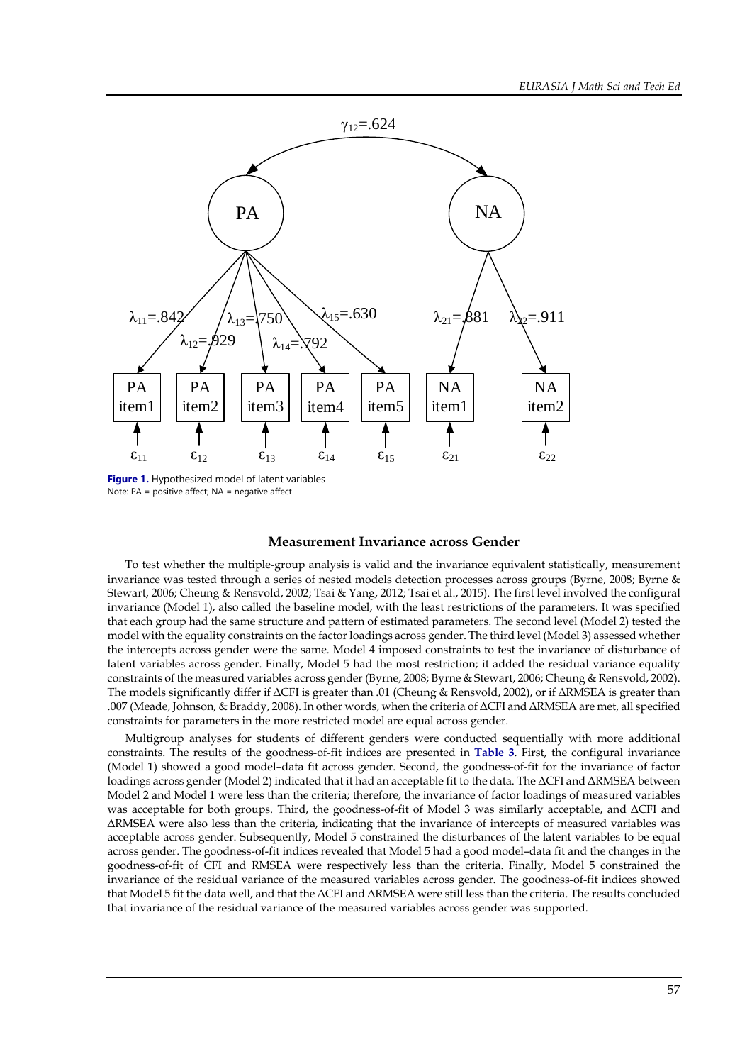

**Figure 1.** Hypothesized model of latent variables Note: PA = positive affect; NA = negative affect

## **Measurement Invariance across Gender**

To test whether the multiple-group analysis is valid and the invariance equivalent statistically, measurement invariance was tested through a series of nested models detection processes across groups (Byrne, 2008; Byrne & Stewart, 2006; Cheung & Rensvold, 2002; Tsai & Yang, 2012; Tsai et al., 2015). The first level involved the configural invariance (Model 1), also called the baseline model, with the least restrictions of the parameters. It was specified that each group had the same structure and pattern of estimated parameters. The second level (Model 2) tested the model with the equality constraints on the factor loadings across gender. The third level (Model 3) assessed whether the intercepts across gender were the same. Model 4 imposed constraints to test the invariance of disturbance of latent variables across gender. Finally, Model 5 had the most restriction; it added the residual variance equality constraints of the measured variables across gender (Byrne, 2008; Byrne & Stewart, 2006; Cheung & Rensvold, 2002). The models significantly differ if ΔCFI is greater than .01 (Cheung & Rensvold, 2002), or if ΔRMSEA is greater than .007 (Meade, Johnson, & Braddy, 2008). In other words, when the criteria of ΔCFI and ΔRMSEA are met, all specified constraints for parameters in the more restricted model are equal across gender.

Multigroup analyses for students of different genders were conducted sequentially with more additional constraints. The results of the goodness-of-fit indices are presented in **Table 3**. First, the configural invariance (Model 1) showed a good model–data fit across gender. Second, the goodness-of-fit for the invariance of factor loadings across gender (Model 2) indicated that it had an acceptable fit to the data. The ΔCFI and ΔRMSEA between Model 2 and Model 1 were less than the criteria; therefore, the invariance of factor loadings of measured variables was acceptable for both groups. Third, the goodness-of-fit of Model 3 was similarly acceptable, and ΔCFI and ΔRMSEA were also less than the criteria, indicating that the invariance of intercepts of measured variables was acceptable across gender. Subsequently, Model 5 constrained the disturbances of the latent variables to be equal across gender. The goodness-of-fit indices revealed that Model 5 had a good model–data fit and the changes in the goodness-of-fit of CFI and RMSEA were respectively less than the criteria. Finally, Model 5 constrained the invariance of the residual variance of the measured variables across gender. The goodness-of-fit indices showed that Model 5 fit the data well, and that the ΔCFI and ΔRMSEA were still less than the criteria. The results concluded that invariance of the residual variance of the measured variables across gender was supported.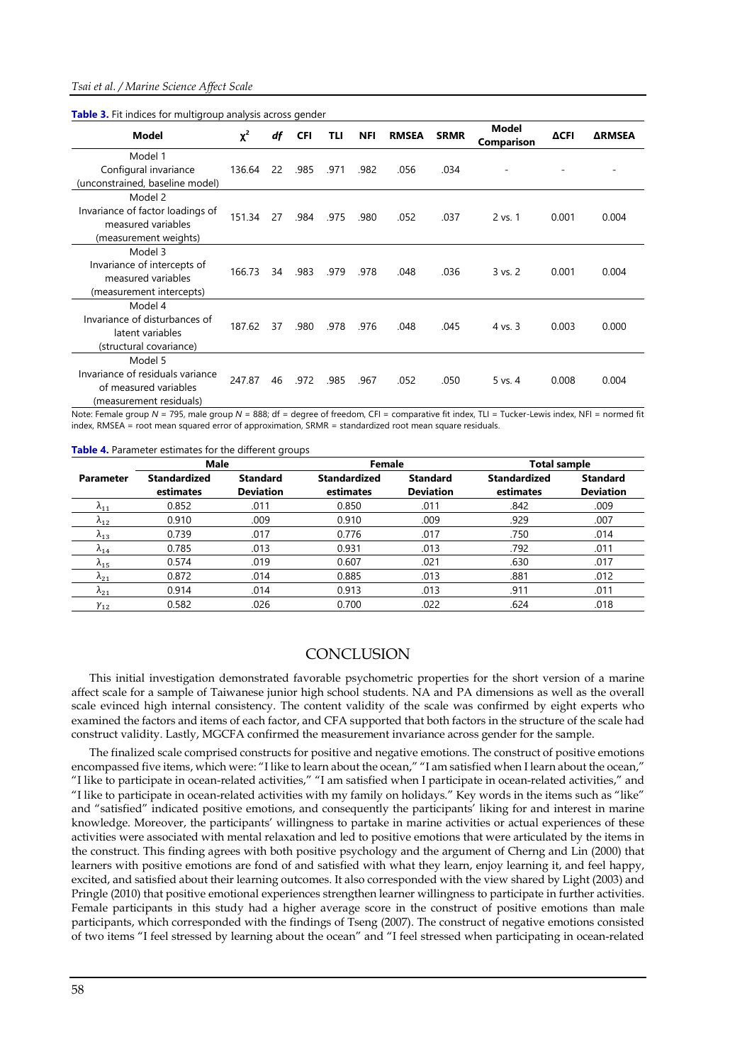|  |  | Table 3. Fit indices for multigroup analysis across gender |  |  |
|--|--|------------------------------------------------------------|--|--|
|  |  |                                                            |  |  |

| <b>Model</b>                     | $\chi^2$ | df | <b>CFI</b> | TLI  | <b>NFI</b> | <b>RMSEA</b> | <b>SRMR</b> | Model<br>Comparison | ΔCFI  | <b>ARMSEA</b> |
|----------------------------------|----------|----|------------|------|------------|--------------|-------------|---------------------|-------|---------------|
| Model 1                          |          |    |            |      |            |              |             |                     |       |               |
| Configural invariance            | 136.64   | 22 | .985       | .971 | .982       | .056         | .034        |                     |       |               |
| (unconstrained, baseline model)  |          |    |            |      |            |              |             |                     |       |               |
| Model 2                          |          |    |            |      |            |              |             |                     |       |               |
| Invariance of factor loadings of | 151.34   | 27 | .984       | .975 | .980       | .052         | .037        | 2 vs. 1             | 0.001 | 0.004         |
| measured variables               |          |    |            |      |            |              |             |                     |       |               |
| (measurement weights)            |          |    |            |      |            |              |             |                     |       |               |
| Model 3                          |          |    |            |      |            |              |             |                     |       |               |
| Invariance of intercepts of      | 166.73   | 34 | .983       | .979 | .978       | .048         | .036        | $3$ vs. $2$         | 0.001 | 0.004         |
| measured variables               |          |    |            |      |            |              |             |                     |       |               |
| (measurement intercepts)         |          |    |            |      |            |              |             |                     |       |               |
| Model 4                          |          |    |            |      |            |              |             |                     |       |               |
| Invariance of disturbances of    | 187.62   | 37 |            |      |            |              |             |                     | 0.003 | 0.000         |
| latent variables                 |          |    | .980       | .978 | .976       | .048         | .045        | 4 vs. 3             |       |               |
| (structural covariance)          |          |    |            |      |            |              |             |                     |       |               |
| Model 5                          |          |    |            |      |            |              |             |                     |       |               |
| Invariance of residuals variance |          | 46 | .972       | .985 | .967       | .052         | .050        | 5 vs. 4             | 0.008 | 0.004         |
| of measured variables            | 247.87   |    |            |      |            |              |             |                     |       |               |
| (measurement residuals)          |          |    |            |      |            |              |             |                     |       |               |

Note: Female group *N* = 795, male group *N* = 888; df = degree of freedom, CFI = comparative fit index, TLI = Tucker-Lewis index, NFI = normed fit index, RMSEA = root mean squared error of approximation, SRMR = standardized root mean square residuals.

**Table 4.** Parameter estimates for the different groups

|                  | <b>Male</b>                      |                                     | Female                           |                                     | <b>Total sample</b>              |                                     |  |
|------------------|----------------------------------|-------------------------------------|----------------------------------|-------------------------------------|----------------------------------|-------------------------------------|--|
| <b>Parameter</b> | <b>Standardized</b><br>estimates | <b>Standard</b><br><b>Deviation</b> | <b>Standardized</b><br>estimates | <b>Standard</b><br><b>Deviation</b> | <b>Standardized</b><br>estimates | <b>Standard</b><br><b>Deviation</b> |  |
| $\lambda_{11}$   | 0.852                            | .011                                | 0.850                            | .011                                | .842                             | .009                                |  |
| $\lambda_{12}$   | 0.910                            | .009                                | 0.910                            | .009                                | .929                             | .007                                |  |
| $\lambda_{13}$   | 0.739                            | .017                                | 0.776                            | .017                                | .750                             | .014                                |  |
| $\Lambda_{14}$   | 0.785                            | .013                                | 0.931                            | .013                                | .792                             | .011                                |  |
| $\lambda_{15}$   | 0.574                            | .019                                | 0.607                            | .021                                | .630                             | .017                                |  |
| $\Lambda_{21}$   | 0.872                            | .014                                | 0.885                            | .013                                | .881                             | .012                                |  |
| $\Lambda_{21}$   | 0.914                            | .014                                | 0.913                            | .013                                | .911                             | .011                                |  |
| $\gamma_{12}$    | 0.582                            | .026                                | 0.700                            | .022                                | .624                             | .018                                |  |

#### **CONCLUSION**

This initial investigation demonstrated favorable psychometric properties for the short version of a marine affect scale for a sample of Taiwanese junior high school students. NA and PA dimensions as well as the overall scale evinced high internal consistency. The content validity of the scale was confirmed by eight experts who examined the factors and items of each factor, and CFA supported that both factors in the structure of the scale had construct validity. Lastly, MGCFA confirmed the measurement invariance across gender for the sample.

The finalized scale comprised constructs for positive and negative emotions. The construct of positive emotions encompassed five items, which were: "I like to learn about the ocean," "I am satisfied when I learn about the ocean," "I like to participate in ocean-related activities," "I am satisfied when I participate in ocean-related activities," and "I like to participate in ocean-related activities with my family on holidays." Key words in the items such as "like" and "satisfied" indicated positive emotions, and consequently the participants' liking for and interest in marine knowledge. Moreover, the participants' willingness to partake in marine activities or actual experiences of these activities were associated with mental relaxation and led to positive emotions that were articulated by the items in the construct. This finding agrees with both positive psychology and the argument of Cherng and Lin (2000) that learners with positive emotions are fond of and satisfied with what they learn, enjoy learning it, and feel happy, excited, and satisfied about their learning outcomes. It also corresponded with the view shared by Light (2003) and Pringle (2010) that positive emotional experiences strengthen learner willingness to participate in further activities. Female participants in this study had a higher average score in the construct of positive emotions than male participants, which corresponded with the findings of Tseng (2007). The construct of negative emotions consisted of two items "I feel stressed by learning about the ocean" and "I feel stressed when participating in ocean-related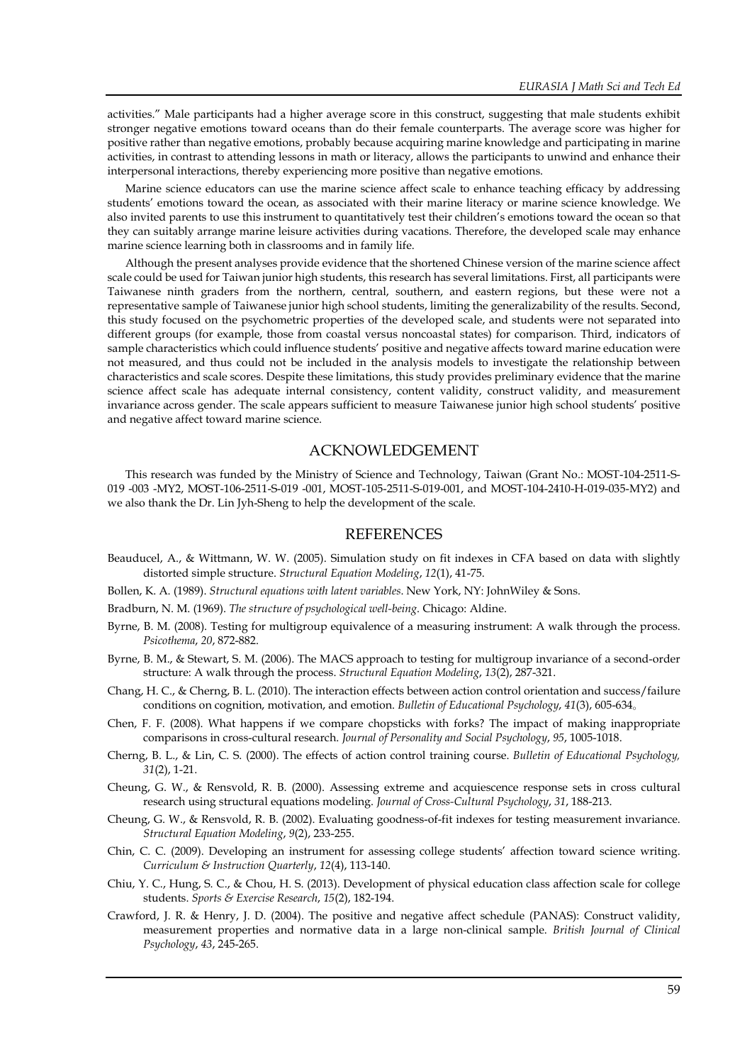activities." Male participants had a higher average score in this construct, suggesting that male students exhibit stronger negative emotions toward oceans than do their female counterparts. The average score was higher for positive rather than negative emotions, probably because acquiring marine knowledge and participating in marine activities, in contrast to attending lessons in math or literacy, allows the participants to unwind and enhance their interpersonal interactions, thereby experiencing more positive than negative emotions.

Marine science educators can use the marine science affect scale to enhance teaching efficacy by addressing students' emotions toward the ocean, as associated with their marine literacy or marine science knowledge. We also invited parents to use this instrument to quantitatively test their children's emotions toward the ocean so that they can suitably arrange marine leisure activities during vacations. Therefore, the developed scale may enhance marine science learning both in classrooms and in family life.

Although the present analyses provide evidence that the shortened Chinese version of the marine science affect scale could be used for Taiwan junior high students, this research has several limitations. First, all participants were Taiwanese ninth graders from the northern, central, southern, and eastern regions, but these were not a representative sample of Taiwanese junior high school students, limiting the generalizability of the results. Second, this study focused on the psychometric properties of the developed scale, and students were not separated into different groups (for example, those from coastal versus noncoastal states) for comparison. Third, indicators of sample characteristics which could influence students' positive and negative affects toward marine education were not measured, and thus could not be included in the analysis models to investigate the relationship between characteristics and scale scores. Despite these limitations, this study provides preliminary evidence that the marine science affect scale has adequate internal consistency, content validity, construct validity, and measurement invariance across gender. The scale appears sufficient to measure Taiwanese junior high school students' positive and negative affect toward marine science.

## ACKNOWLEDGEMENT

This research was funded by the Ministry of Science and Technology, Taiwan (Grant No.: MOST-104-2511-S-019 -003 -MY2, MOST-106-2511-S-019 -001, MOST-105-2511-S-019-001, and MOST-104-2410-H-019-035-MY2) and we also thank the Dr. Lin Jyh-Sheng to help the development of the scale.

#### REFERENCES

- Beauducel, A., & Wittmann, W. W. (2005). Simulation study on fit indexes in CFA based on data with slightly distorted simple structure. *Structural Equation Modeling*, *12*(1), 41-75.
- Bollen, K. A. (1989). *Structural equations with latent variables*. New York, NY: JohnWiley & Sons.
- Bradburn, N. M. (1969). *The structure of psychological well-being*. Chicago: Aldine.
- Byrne, B. M. (2008). Testing for multigroup equivalence of a measuring instrument: A walk through the process. *Psicothema*, *20*, 872-882.
- Byrne, B. M., & Stewart, S. M. (2006). The MACS approach to testing for multigroup invariance of a second-order structure: A walk through the process. *Structural Equation Modeling*, *13*(2), 287-321.
- Chang, H. C., & Cherng, B. L. (2010). The interaction effects between action control orientation and success/failure conditions on cognition, motivation, and emotion. *Bulletin of Educational Psychology*, *41*(3), 605-634。
- Chen, F. F. (2008). What happens if we compare chopsticks with forks? The impact of making inappropriate comparisons in cross-cultural research. *Journal of Personality and Social Psychology*, *95*, 1005-1018.
- Cherng, B. L., & Lin, C. S. (2000). The effects of action control training course. *Bulletin of Educational Psychology, 31*(2), 1-21.
- Cheung, G. W., & Rensvold, R. B. (2000). Assessing extreme and acquiescence response sets in cross cultural research using structural equations modeling. *Journal of Cross-Cultural Psychology*, *31*, 188-213.
- Cheung, G. W., & Rensvold, R. B. (2002). Evaluating goodness-of-fit indexes for testing measurement invariance. *Structural Equation Modeling*, *9*(2), 233-255.
- Chin, C. C. (2009). Developing an instrument for assessing college students' affection toward science writing. *Curriculum & Instruction Quarterly*, *12*(4), 113-140.
- Chiu, Y. C., Hung, S. C., & Chou, H. S. (2013). Development of physical education class affection scale for college students. *Sports & Exercise Research*, *15*(2), 182-194.
- Crawford, J. R. & Henry, J. D. (2004). The positive and negative affect schedule (PANAS): Construct validity, measurement properties and normative data in a large non-clinical sample. *British Journal of Clinical Psychology*, *43*, 245-265.